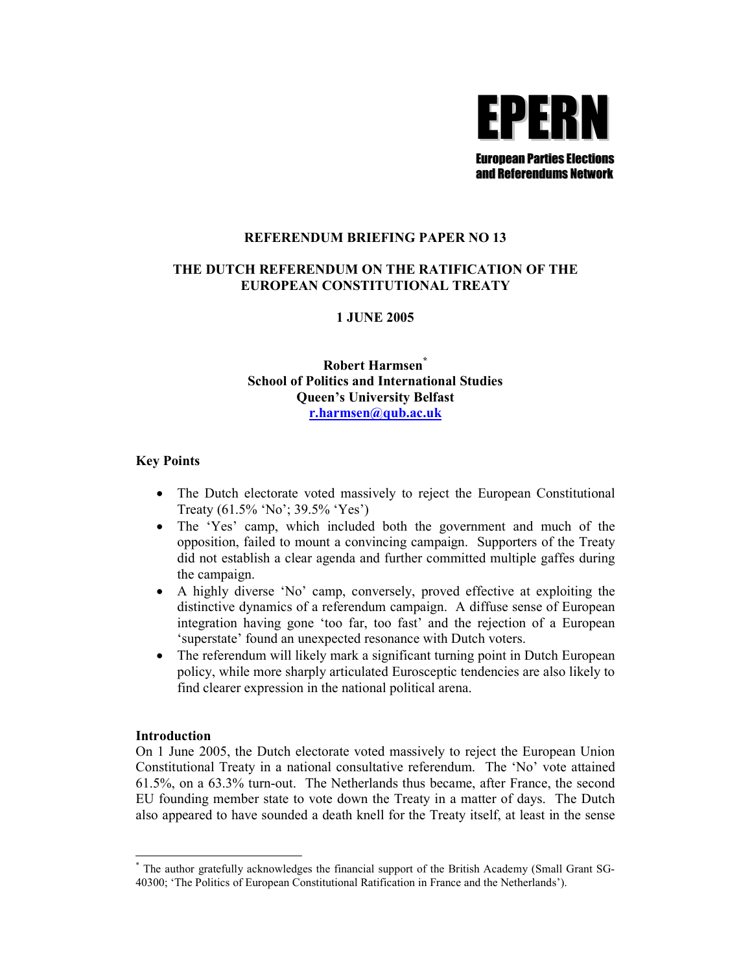

### **REFERENDUM BRIEFING PAPER NO 13**

# THE DUTCH REFERENDUM ON THE RATIFICATION OF THE EUROPEAN CONSTITUTIONAL TREATY

# **1 JUNE 2005**

# Robert Harmsen<sup>\*</sup> **School of Politics and International Studies Queen's University Belfast** r.harmsen@qub.ac.uk

### **Key Points**

- The Dutch electorate voted massively to reject the European Constitutional Treaty  $(61.5\%$  'No';  $39.5\%$  'Yes')
- The 'Yes' camp, which included both the government and much of the opposition, failed to mount a convincing campaign. Supporters of the Treaty did not establish a clear agenda and further committed multiple gaffes during the campaign.
- $\bullet$ A highly diverse 'No' camp, conversely, proved effective at exploiting the distinctive dynamics of a referendum campaign. A diffuse sense of European integration having gone 'too far, too fast' and the rejection of a European 'superstate' found an unexpected resonance with Dutch voters.
- The referendum will likely mark a significant turning point in Dutch European  $\bullet$ policy, while more sharply articulated Eurosceptic tendencies are also likely to find clearer expression in the national political arena.

### **Introduction**

On 1 June 2005, the Dutch electorate voted massively to reject the European Union Constitutional Treaty in a national consultative referendum. The 'No' vote attained 61.5%, on a 63.3% turn-out. The Netherlands thus became, after France, the second EU founding member state to vote down the Treaty in a matter of days. The Dutch also appeared to have sounded a death knell for the Treaty itself, at least in the sense

The author gratefully acknowledges the financial support of the British Academy (Small Grant SG-40300; 'The Politics of European Constitutional Ratification in France and the Netherlands').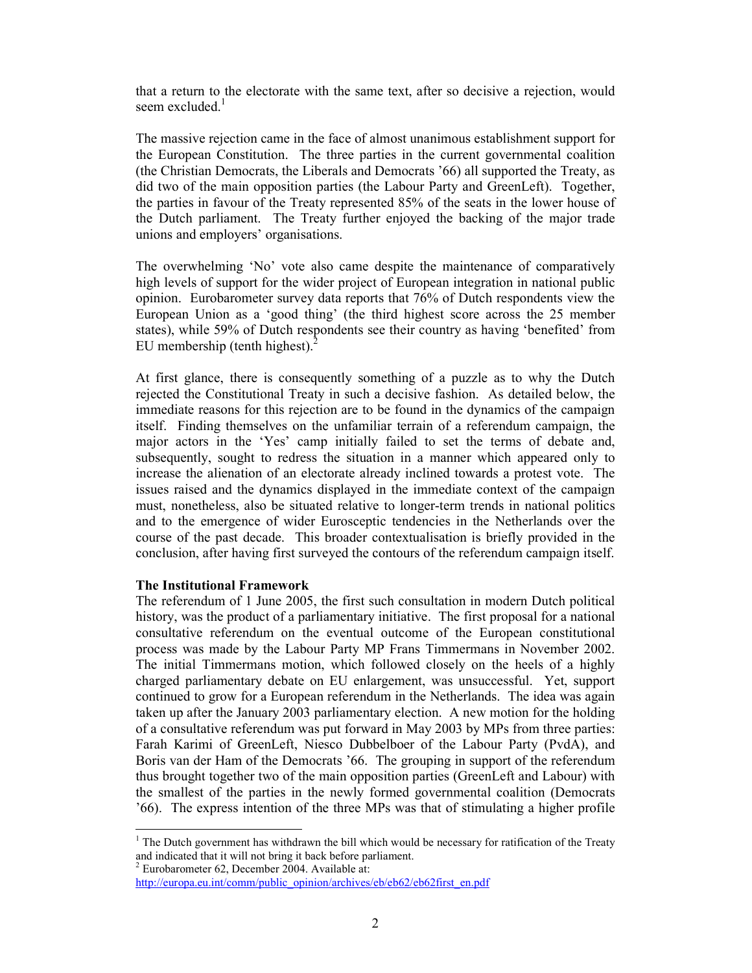that a return to the electorate with the same text, after so decisive a rejection, would seem excluded.

The massive rejection came in the face of almost unanimous establishment support for the European Constitution. The three parties in the current governmental coalition (the Christian Democrats, the Liberals and Democrats '66) all supported the Treaty, as did two of the main opposition parties (the Labour Party and GreenLeft). Together, the parties in favour of the Treaty represented 85% of the seats in the lower house of the Dutch parliament. The Treaty further enjoyed the backing of the major trade unions and employers' organisations.

The overwhelming 'No' vote also came despite the maintenance of comparatively high levels of support for the wider project of European integration in national public opinion. Eurobarometer survey data reports that 76% of Dutch respondents view the European Union as a 'good thing' (the third highest score across the 25 member states), while 59% of Dutch respondents see their country as having 'benefited' from EU membership (tenth highest). $<sup>2</sup>$ </sup>

At first glance, there is consequently something of a puzzle as to why the Dutch rejected the Constitutional Treaty in such a decisive fashion. As detailed below, the immediate reasons for this rejection are to be found in the dynamics of the campaign itself. Finding themselves on the unfamiliar terrain of a referendum campaign, the major actors in the 'Yes' camp initially failed to set the terms of debate and, subsequently, sought to redress the situation in a manner which appeared only to increase the alienation of an electorate already inclined towards a protest vote. The issues raised and the dynamics displayed in the immediate context of the campaign must, nonetheless, also be situated relative to longer-term trends in national politics and to the emergence of wider Eurosceptic tendencies in the Netherlands over the course of the past decade. This broader contextualisation is briefly provided in the conclusion, after having first surveyed the contours of the referendum campaign itself.

### **The Institutional Framework**

The referendum of 1 June 2005, the first such consultation in modern Dutch political history, was the product of a parliamentary initiative. The first proposal for a national consultative referendum on the eventual outcome of the European constitutional process was made by the Labour Party MP Frans Timmermans in November 2002. The initial Timmermans motion, which followed closely on the heels of a highly charged parliamentary debate on EU enlargement, was unsuccessful. Yet, support continued to grow for a European referendum in the Netherlands. The idea was again taken up after the January 2003 parliamentary election. A new motion for the holding of a consultative referendum was put forward in May 2003 by MPs from three parties: Farah Karimi of GreenLeft, Niesco Dubbelboer of the Labour Party (PvdA), and Boris van der Ham of the Democrats '66. The grouping in support of the referendum thus brought together two of the main opposition parties (GreenLeft and Labour) with the smallest of the parties in the newly formed governmental coalition (Democrats '66). The express intention of the three MPs was that of stimulating a higher profile

 $\frac{1}{2}$  The Dutch government has withdrawn the bill which would be necessary for ratification of the Treaty and indicated that it will not bring it back before parliament.

 $2$  Eurobarometer 62, December 2004. Available at:

http://europa.eu.int/comm/public\_opinion/archives/eb/eb62/eb62first\_en.pdf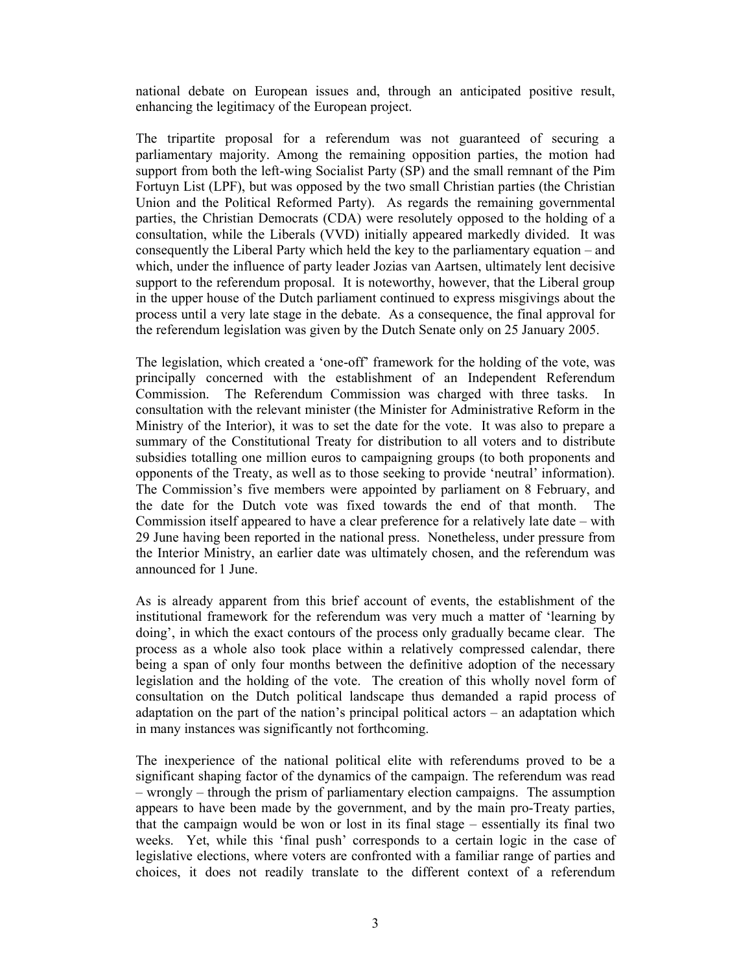national debate on European issues and, through an anticipated positive result, enhancing the legitimacy of the European project.

The tripartite proposal for a referendum was not guaranteed of securing a parliamentary majority. Among the remaining opposition parties, the motion had support from both the left-wing Socialist Party (SP) and the small remnant of the Pim Fortuyn List (LPF), but was opposed by the two small Christian parties (the Christian Union and the Political Reformed Party). As regards the remaining governmental parties, the Christian Democrats (CDA) were resolutely opposed to the holding of a consultation, while the Liberals (VVD) initially appeared markedly divided. It was consequently the Liberal Party which held the key to the parliamentary equation – and which, under the influence of party leader Jozias van Aartsen, ultimately lent decisive support to the referendum proposal. It is noteworthy, however, that the Liberal group in the upper house of the Dutch parliament continued to express misgivings about the process until a very late stage in the debate. As a consequence, the final approval for the referendum legislation was given by the Dutch Senate only on 25 January 2005.

The legislation, which created a 'one-off' framework for the holding of the vote, was principally concerned with the establishment of an Independent Referendum The Referendum Commission was charged with three tasks. In Commission. consultation with the relevant minister (the Minister for Administrative Reform in the Ministry of the Interior), it was to set the date for the vote. It was also to prepare a summary of the Constitutional Treaty for distribution to all voters and to distribute subsidies totalling one million euros to campaigning groups (to both proponents and opponents of the Treaty, as well as to those seeking to provide 'neutral' information). The Commission's five members were appointed by parliament on 8 February, and the date for the Dutch vote was fixed towards the end of that month. The Commission itself appeared to have a clear preference for a relatively late date  $-$  with 29 June having been reported in the national press. Nonetheless, under pressure from the Interior Ministry, an earlier date was ultimately chosen, and the referendum was announced for 1 June.

As is already apparent from this brief account of events, the establishment of the institutional framework for the referendum was very much a matter of 'learning by doing', in which the exact contours of the process only gradually became clear. The process as a whole also took place within a relatively compressed calendar, there being a span of only four months between the definitive adoption of the necessary legislation and the holding of the vote. The creation of this wholly novel form of consultation on the Dutch political landscape thus demanded a rapid process of adaptation on the part of the nation's principal political actors – an adaptation which in many instances was significantly not forthcoming.

The inexperience of the national political elite with referendums proved to be a significant shaping factor of the dynamics of the campaign. The referendum was read - wrongly - through the prism of parliamentary election campaigns. The assumption appears to have been made by the government, and by the main pro-Treaty parties, that the campaign would be won or lost in its final stage – essentially its final two weeks. Yet, while this 'final push' corresponds to a certain logic in the case of legislative elections, where voters are confronted with a familiar range of parties and choices, it does not readily translate to the different context of a referendum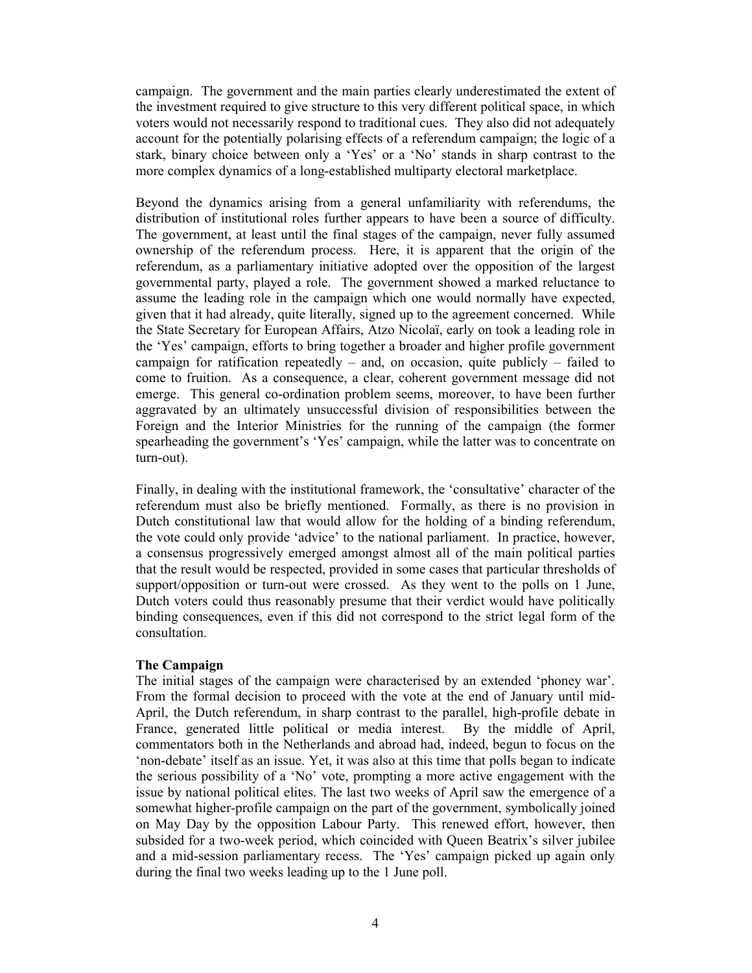campaign. The government and the main parties clearly underestimated the extent of the investment required to give structure to this very different political space, in which voters would not necessarily respond to traditional cues. They also did not adequately account for the potentially polarising effects of a referendum campaign; the logic of a stark, binary choice between only a 'Yes' or a 'No' stands in sharp contrast to the more complex dynamics of a long-established multiparty electoral marketplace.

Beyond the dynamics arising from a general unfamiliarity with referendums, the distribution of institutional roles further appears to have been a source of difficulty. The government, at least until the final stages of the campaign, never fully assumed ownership of the referendum process. Here, it is apparent that the origin of the referendum, as a parliamentary initiative adopted over the opposition of the largest governmental party, played a role. The government showed a marked reluctance to assume the leading role in the campaign which one would normally have expected. given that it had already, quite literally, signed up to the agreement concerned. While the State Secretary for European Affairs, Atzo Nicolaï, early on took a leading role in the 'Yes' campaign, efforts to bring together a broader and higher profile government campaign for ratification repeatedly  $-$  and, on occasion, quite publicly  $-$  failed to come to fruition. As a consequence, a clear, coherent government message did not emerge. This general co-ordination problem seems, moreover, to have been further aggravated by an ultimately unsuccessful division of responsibilities between the Foreign and the Interior Ministries for the running of the campaign (the former spearheading the government's 'Yes' campaign, while the latter was to concentrate on turn-out).

Finally, in dealing with the institutional framework, the 'consultative' character of the referendum must also be briefly mentioned. Formally, as there is no provision in Dutch constitutional law that would allow for the holding of a binding referendum, the vote could only provide 'advice' to the national parliament. In practice, however, a consensus progressively emerged amongst almost all of the main political parties that the result would be respected, provided in some cases that particular thresholds of support/opposition or turn-out were crossed. As they went to the polls on 1 June, Dutch voters could thus reasonably presume that their verdict would have politically binding consequences, even if this did not correspond to the strict legal form of the consultation.

# **The Campaign**

The initial stages of the campaign were characterised by an extended 'phoney war'. From the formal decision to proceed with the vote at the end of January until mid-April, the Dutch referendum, in sharp contrast to the parallel, high-profile debate in France, generated little political or media interest. By the middle of April, commentators both in the Netherlands and abroad had, indeed, begun to focus on the 'non-debate' itself as an issue. Yet, it was also at this time that polls began to indicate the serious possibility of a 'No' vote, prompting a more active engagement with the issue by national political elites. The last two weeks of April saw the emergence of a somewhat higher-profile campaign on the part of the government, symbolically joined on May Day by the opposition Labour Party. This renewed effort, however, then subsided for a two-week period, which coincided with Queen Beatrix's silver jubilee and a mid-session parliamentary recess. The 'Yes' campaign picked up again only during the final two weeks leading up to the 1 June poll.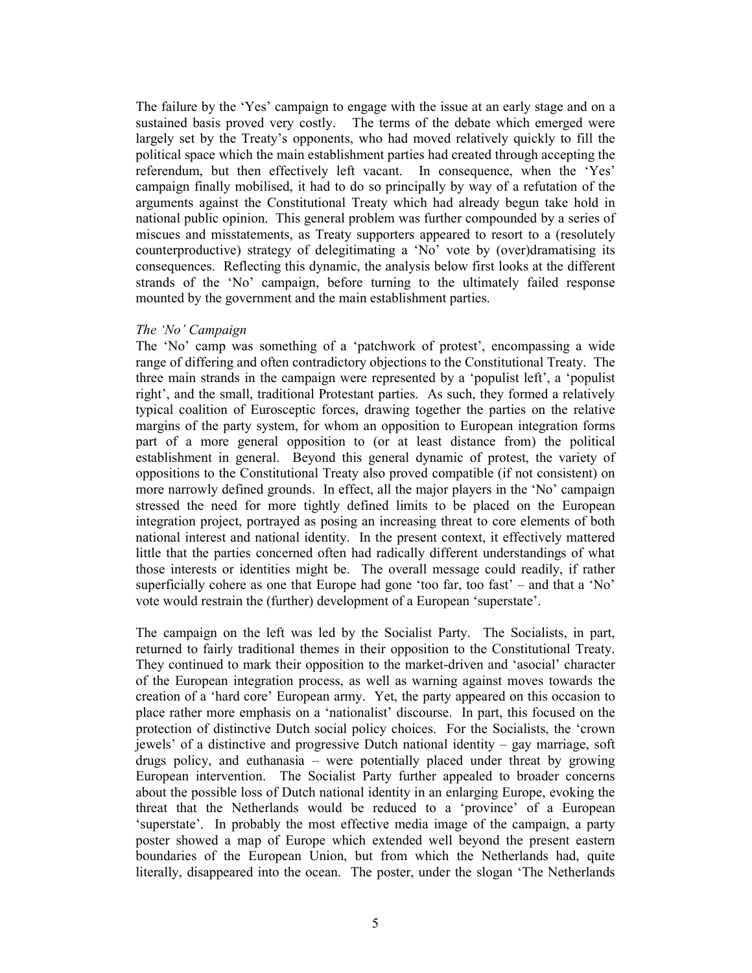The failure by the 'Yes' campaign to engage with the issue at an early stage and on a sustained basis proved very costly. The terms of the debate which emerged were largely set by the Treaty's opponents, who had moved relatively quickly to fill the political space which the main establishment parties had created through accepting the referendum, but then effectively left vacant. In consequence, when the 'Yes' campaign finally mobilised, it had to do so principally by way of a refutation of the arguments against the Constitutional Treaty which had already begun take hold in national public opinion. This general problem was further compounded by a series of miscues and misstatements, as Treaty supporters appeared to resort to a (resolutely counterproductive) strategy of delegitimating a 'No' vote by (over)dramatising its consequences. Reflecting this dynamic, the analysis below first looks at the different strands of the 'No' campaign, before turning to the ultimately failed response mounted by the government and the main establishment parties.

### The 'No' Campaign

The 'No' camp was something of a 'patchwork of protest', encompassing a wide range of differing and often contradictory objections to the Constitutional Treaty. The three main strands in the campaign were represented by a 'populist left', a 'populist right', and the small, traditional Protestant parties. As such, they formed a relatively typical coalition of Eurosceptic forces, drawing together the parties on the relative margins of the party system, for whom an opposition to European integration forms part of a more general opposition to (or at least distance from) the political establishment in general. Beyond this general dynamic of protest, the variety of oppositions to the Constitutional Treaty also proved compatible (if not consistent) on more narrowly defined grounds. In effect, all the major players in the 'No' campaign stressed the need for more tightly defined limits to be placed on the European integration project, portrayed as posing an increasing threat to core elements of both national interest and national identity. In the present context, it effectively mattered little that the parties concerned often had radically different understandings of what those interests or identities might be. The overall message could readily, if rather superficially cohere as one that Europe had gone 'too far, too fast' – and that a 'No' vote would restrain the (further) development of a European 'superstate'.

The campaign on the left was led by the Socialist Party. The Socialists, in part, returned to fairly traditional themes in their opposition to the Constitutional Treaty. They continued to mark their opposition to the market-driven and 'asocial' character of the European integration process, as well as warning against moves towards the creation of a 'hard core' European army. Yet, the party appeared on this occasion to place rather more emphasis on a 'nationalist' discourse. In part, this focused on the protection of distinctive Dutch social policy choices. For the Socialists, the 'crown' jewels' of a distinctive and progressive Dutch national identity  $-$  gay marriage, soft drugs policy, and euthanasia – were potentially placed under threat by growing European intervention. The Socialist Party further appealed to broader concerns about the possible loss of Dutch national identity in an enlarging Europe, evoking the threat that the Netherlands would be reduced to a 'province' of a European 'superstate'. In probably the most effective media image of the campaign, a party poster showed a map of Europe which extended well beyond the present eastern boundaries of the European Union, but from which the Netherlands had, quite literally, disappeared into the ocean. The poster, under the slogan 'The Netherlands'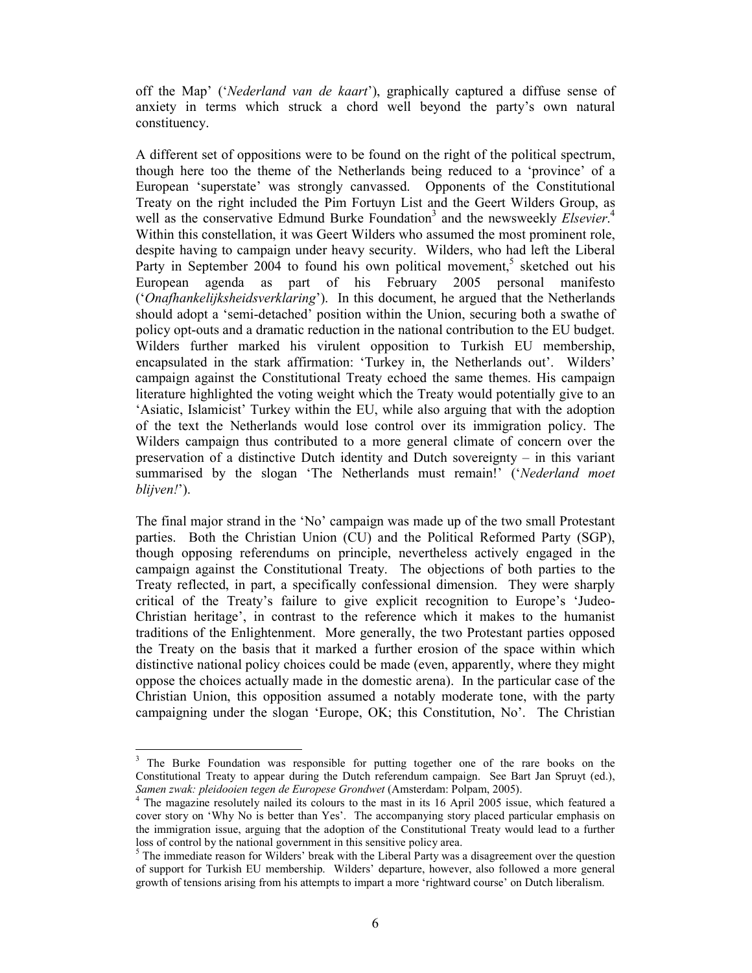off the Map' ('Nederland van de kaart'), graphically captured a diffuse sense of anxiety in terms which struck a chord well beyond the party's own natural constituency.

A different set of oppositions were to be found on the right of the political spectrum, though here too the theme of the Netherlands being reduced to a 'province' of a European 'superstate' was strongly canvassed. Opponents of the Constitutional Treaty on the right included the Pim Fortuyn List and the Geert Wilders Group, as well as the conservative Edmund Burke Foundation<sup>3</sup> and the newsweekly *Elsevier*.<sup>4</sup> Within this constellation, it was Geert Wilders who assumed the most prominent role, despite having to campaign under heavy security. Wilders, who had left the Liberal Party in September 2004 to found his own political movement,<sup>5</sup> sketched out his European agenda as part of his February 2005 personal manifesto ('Onafhankelijksheidsverklaring'). In this document, he argued that the Netherlands should adopt a 'semi-detached' position within the Union, securing both a swathe of policy opt-outs and a dramatic reduction in the national contribution to the EU budget. Wilders further marked his virulent opposition to Turkish EU membership, encapsulated in the stark affirmation: 'Turkey in, the Netherlands out'. Wilders' campaign against the Constitutional Treaty echoed the same themes. His campaign literature highlighted the voting weight which the Treaty would potentially give to an 'Asiatic, Islamicist' Turkey within the EU, while also arguing that with the adoption of the text the Netherlands would lose control over its immigration policy. The Wilders campaign thus contributed to a more general climate of concern over the preservation of a distinctive Dutch identity and Dutch sovereignty – in this variant summarised by the slogan 'The Netherlands must remain!' ('Nederland moet blijven!').

The final major strand in the 'No' campaign was made up of the two small Protestant parties. Both the Christian Union (CU) and the Political Reformed Party (SGP), though opposing referendums on principle, nevertheless actively engaged in the campaign against the Constitutional Treaty. The objections of both parties to the Treaty reflected, in part, a specifically confessional dimension. They were sharply critical of the Treaty's failure to give explicit recognition to Europe's 'Judeo-Christian heritage', in contrast to the reference which it makes to the humanist traditions of the Enlightenment. More generally, the two Protestant parties opposed the Treaty on the basis that it marked a further erosion of the space within which distinctive national policy choices could be made (even, apparently, where they might oppose the choices actually made in the domestic arena). In the particular case of the Christian Union, this opposition assumed a notably moderate tone, with the party campaigning under the slogan 'Europe, OK; this Constitution, No'. The Christian

 $\mathfrak{z}$ The Burke Foundation was responsible for putting together one of the rare books on the Constitutional Treaty to appear during the Dutch referendum campaign. See Bart Jan Spruyt (ed.), Samen zwak: pleidooien tegen de Europese Grondwet (Amsterdam: Polpam, 2005).<br><sup>4</sup> The magazine resolutely nailed its colours to the most in its 16, Amil 2005.

The magazine resolutely nailed its colours to the mast in its 16 April 2005 issue, which featured a cover story on 'Why No is better than Yes'. The accompanying story placed particular emphasis on the immigration issue, arguing that the adoption of the Constitutional Treaty would lead to a further loss of control by the national government in this sensitive policy area.

 $5$  The immediate reason for Wilders' break with the Liberal Party was a disagreement over the question of support for Turkish EU membership. Wilders' departure, however, also followed a more general growth of tensions arising from his attempts to impart a more 'rightward course' on Dutch liberalism.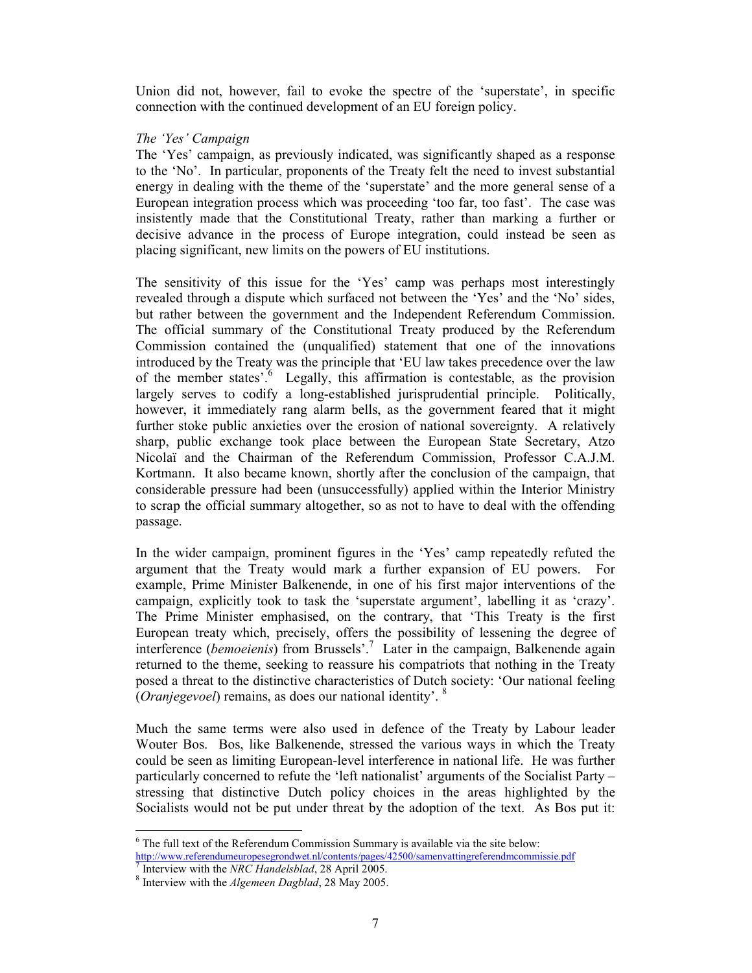Union did not, however, fail to evoke the spectre of the 'superstate', in specific connection with the continued development of an EU foreign policy.

# The 'Yes' Campaign

The 'Yes' campaign, as previously indicated, was significantly shaped as a response to the 'No'. In particular, proponents of the Treaty felt the need to invest substantial energy in dealing with the theme of the 'superstate' and the more general sense of a European integration process which was proceeding 'too far, too fast'. The case was insistently made that the Constitutional Treaty, rather than marking a further or decisive advance in the process of Europe integration, could instead be seen as placing significant, new limits on the powers of EU institutions.

The sensitivity of this issue for the 'Yes' camp was perhaps most interestingly revealed through a dispute which surfaced not between the 'Yes' and the 'No' sides, but rather between the government and the Independent Referendum Commission. The official summary of the Constitutional Treaty produced by the Referendum Commission contained the (unqualified) statement that one of the innovations introduced by the Treaty was the principle that 'EU law takes precedence over the law of the member states'.<sup>6</sup> Legally, this affirmation is contestable, as the provision largely serves to codify a long-established jurisprudential principle. Politically, however, it immediately rang alarm bells, as the government feared that it might further stoke public anxieties over the erosion of national sovereignty. A relatively sharp, public exchange took place between the European State Secretary, Atzo Nicolaï and the Chairman of the Referendum Commission, Professor C.A.J.M. Kortmann. It also became known, shortly after the conclusion of the campaign, that considerable pressure had been (unsuccessfully) applied within the Interior Ministry to scrap the official summary altogether, so as not to have to deal with the offending passage.

In the wider campaign, prominent figures in the 'Yes' camp repeatedly refuted the argument that the Treaty would mark a further expansion of EU powers. For example, Prime Minister Balkenende, in one of his first major interventions of the campaign, explicitly took to task the 'superstate argument', labelling it as 'crazy'. The Prime Minister emphasised, on the contrary, that 'This Treaty is the first European treaty which, precisely, offers the possibility of lessening the degree of interference (bemoeienis) from Brussels'.<sup>7</sup> Later in the campaign, Balkenende again returned to the theme, seeking to reassure his compatriots that nothing in the Treaty posed a threat to the distinctive characteristics of Dutch society: 'Our national feeling *(Oranjegevoel)* remains, as does our national identity'. <sup>8</sup>

Much the same terms were also used in defence of the Treaty by Labour leader Wouter Bos. Bos, like Balkenende, stressed the various ways in which the Treaty could be seen as limiting European-level interference in national life. He was further particularly concerned to refute the 'left nationalist' arguments of the Socialist Party – stressing that distinctive Dutch policy choices in the areas highlighted by the Socialists would not be put under threat by the adoption of the text. As Bos put it:

 $6$  The full text of the Referendum Commission Summary is available via the site below: http://www.referendumeuropesegrondwet.nl/contents/pages/42500/samenvattingreferendmcommissie.pdf

There is with the NRC Handelsblad, 28 April 2005. <sup>8</sup> Interview with the *Algemeen Dagblad*, 28 May 2005.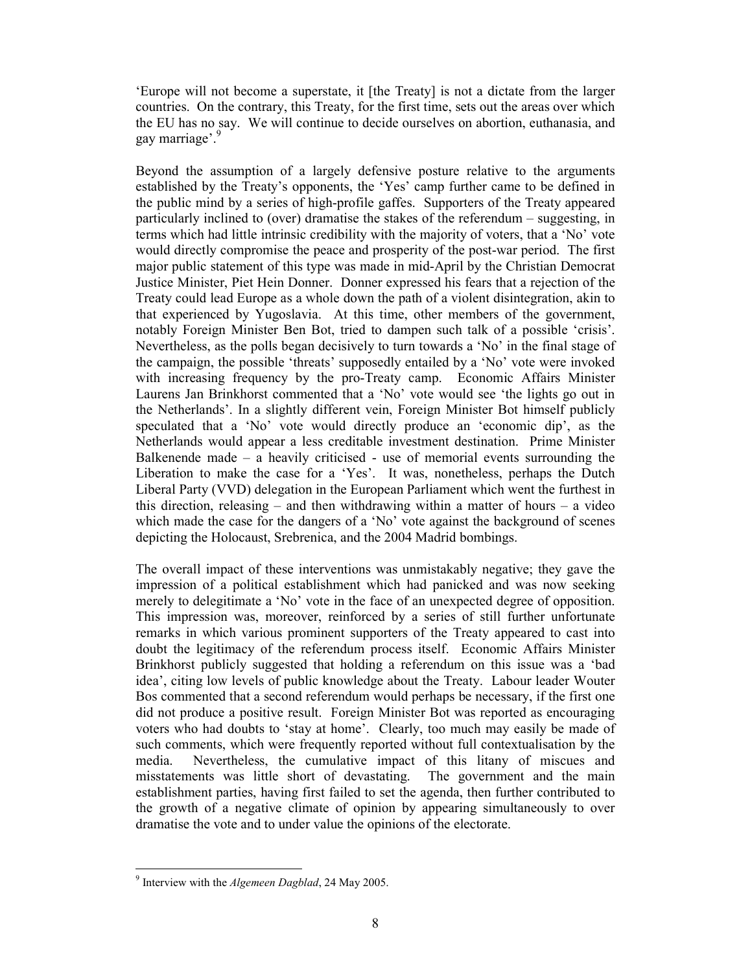Europe will not become a superstate, it [the Treaty] is not a dictate from the larger countries. On the contrary, this Treaty, for the first time, sets out the areas over which the EU has no say. We will continue to decide ourselves on abortion, euthanasia, and gay marriage'.<sup>9</sup>

Beyond the assumption of a largely defensive posture relative to the arguments established by the Treaty's opponents, the 'Yes' camp further came to be defined in the public mind by a series of high-profile gaffes. Supporters of the Treaty appeared particularly inclined to (over) dramatise the stakes of the referendum – suggesting, in terms which had little intrinsic credibility with the majority of voters, that a 'No' vote would directly compromise the peace and prosperity of the post-war period. The first major public statement of this type was made in mid-April by the Christian Democrat Justice Minister, Piet Hein Donner. Donner expressed his fears that a rejection of the Treaty could lead Europe as a whole down the path of a violent disintegration, akin to that experienced by Yugoslavia. At this time, other members of the government, notably Foreign Minister Ben Bot, tried to dampen such talk of a possible 'crisis'. Nevertheless, as the polls began decisively to turn towards a 'No' in the final stage of the campaign, the possible 'threats' supposedly entailed by a 'No' vote were invoked with increasing frequency by the pro-Treaty camp. Economic Affairs Minister Laurens Jan Brinkhorst commented that a 'No' vote would see 'the lights go out in the Netherlands'. In a slightly different vein, Foreign Minister Bot himself publicly speculated that a 'No' vote would directly produce an 'economic dip', as the Netherlands would appear a less creditable investment destination. Prime Minister Balkenende made  $-$  a heavily criticised  $-$  use of memorial events surrounding the Liberation to make the case for a 'Yes'. It was, nonetheless, perhaps the Dutch Liberal Party (VVD) delegation in the European Parliament which went the furthest in this direction, releasing  $-$  and then withdrawing within a matter of hours  $-$  a video which made the case for the dangers of a 'No' vote against the background of scenes depicting the Holocaust, Srebrenica, and the 2004 Madrid bombings.

The overall impact of these interventions was unmistakably negative; they gave the impression of a political establishment which had panicked and was now seeking merely to delegitimate a 'No' vote in the face of an unexpected degree of opposition. This impression was, moreover, reinforced by a series of still further unfortunate remarks in which various prominent supporters of the Treaty appeared to cast into doubt the legitimacy of the referendum process itself. Economic Affairs Minister Brinkhorst publicly suggested that holding a referendum on this issue was a 'bad idea', citing low levels of public knowledge about the Treaty. Labour leader Wouter Bos commented that a second referendum would perhaps be necessary, if the first one did not produce a positive result. Foreign Minister Bot was reported as encouraging voters who had doubts to 'stay at home'. Clearly, too much may easily be made of such comments, which were frequently reported without full contextualisation by the media. Nevertheless, the cumulative impact of this litany of miscues and misstatements was little short of devastating. The government and the main establishment parties, having first failed to set the agenda, then further contributed to the growth of a negative climate of opinion by appearing simultaneously to over dramatise the vote and to under value the opinions of the electorate.

<sup>&</sup>lt;sup>9</sup> Interview with the *Algemeen Dagblad*, 24 May 2005.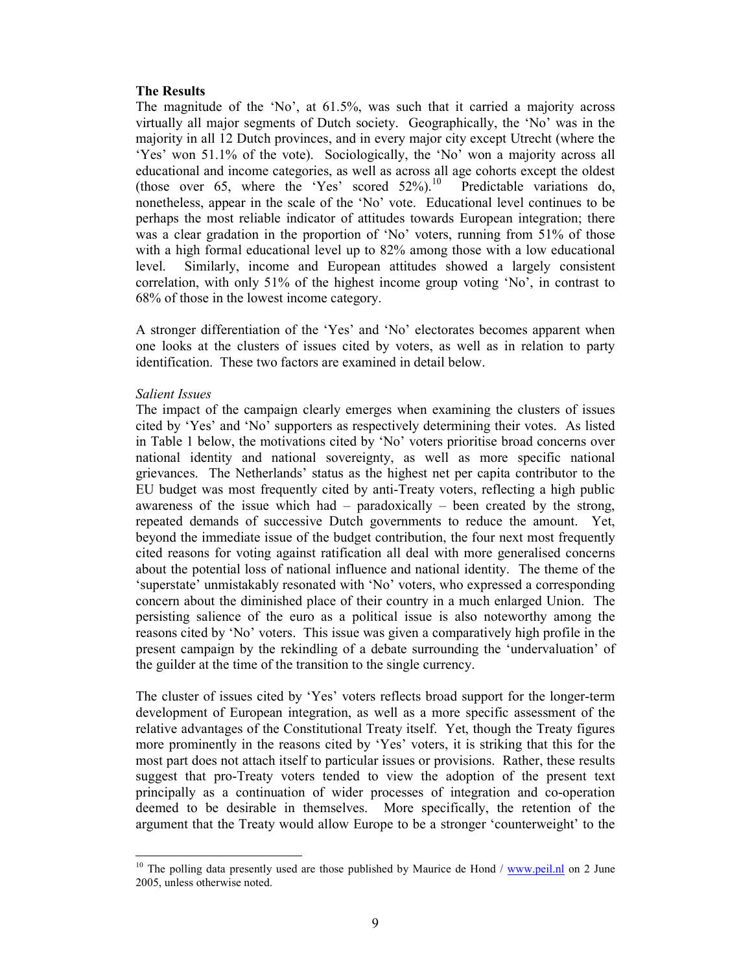### **The Results**

The magnitude of the 'No', at  $61.5\%$ , was such that it carried a majority across virtually all major segments of Dutch society. Geographically, the 'No' was in the majority in all 12 Dutch provinces, and in every major city except Utrecht (where the 'Yes' won 51.1% of the vote). Sociologically, the 'No' won a majority across all educational and income categories, as well as across all age cohorts except the oldest (those over 65, where the 'Yes' scored  $52\%$ ).<sup>10</sup> Predictable variations do, nonetheless, appear in the scale of the 'No' vote. Educational level continues to be perhaps the most reliable indicator of attitudes towards European integration; there was a clear gradation in the proportion of 'No' voters, running from 51% of those with a high formal educational level up to 82% among those with a low educational level Similarly, income and European attitudes showed a largely consistent correlation, with only 51% of the highest income group voting 'No', in contrast to 68% of those in the lowest income category.

A stronger differentiation of the 'Yes' and 'No' electorates becomes apparent when one looks at the clusters of issues cited by voters, as well as in relation to party identification. These two factors are examined in detail below.

### **Salient Issues**

The impact of the campaign clearly emerges when examining the clusters of issues cited by 'Yes' and 'No' supporters as respectively determining their votes. As listed in Table 1 below, the motivations cited by 'No' voters prioritise broad concerns over national identity and national sovereignty, as well as more specific national grievances. The Netherlands' status as the highest net per capita contributor to the EU budget was most frequently cited by anti-Treaty voters, reflecting a high public awareness of the issue which had - paradoxically - been created by the strong, repeated demands of successive Dutch governments to reduce the amount. Yet, beyond the immediate issue of the budget contribution, the four next most frequently cited reasons for voting against ratification all deal with more generalised concerns about the potential loss of national influence and national identity. The theme of the 'superstate' unmistakably resonated with 'No' voters, who expressed a corresponding concern about the diminished place of their country in a much enlarged Union. The persisting salience of the euro as a political issue is also noteworthy among the reasons cited by 'No' voters. This issue was given a comparatively high profile in the present campaign by the rekindling of a debate surrounding the 'undervaluation' of the guilder at the time of the transition to the single currency.

The cluster of issues cited by 'Yes' voters reflects broad support for the longer-term development of European integration, as well as a more specific assessment of the relative advantages of the Constitutional Treaty itself. Yet, though the Treaty figures more prominently in the reasons cited by 'Yes' voters, it is striking that this for the most part does not attach itself to particular issues or provisions. Rather, these results suggest that pro-Treaty voters tended to view the adoption of the present text principally as a continuation of wider processes of integration and co-operation deemed to be desirable in themselves. More specifically, the retention of the argument that the Treaty would allow Europe to be a stronger 'counterweight' to the

<sup>&</sup>lt;sup>10</sup> The polling data presently used are those published by Maurice de Hond /  $\frac{www.peil.nl}{www.peil.nl}$  on 2 June 2005, unless otherwise noted.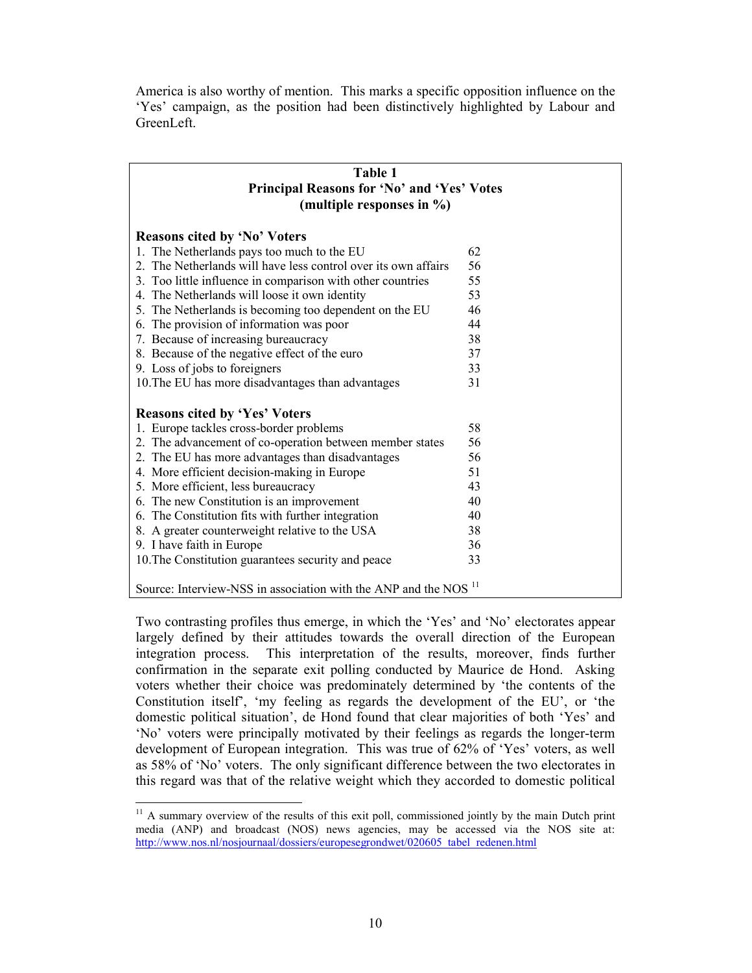America is also worthy of mention. This marks a specific opposition influence on the 'Yes' campaign, as the position had been distinctively highlighted by Labour and GreenLeft.

| Table 1<br>Principal Reasons for 'No' and 'Yes' Votes<br>(multiple responses in $\%$ ) |    |  |  |
|----------------------------------------------------------------------------------------|----|--|--|
| <b>Reasons cited by 'No' Voters</b>                                                    |    |  |  |
| 1. The Netherlands pays too much to the EU                                             | 62 |  |  |
| 2. The Netherlands will have less control over its own affairs                         | 56 |  |  |
| 3. Too little influence in comparison with other countries                             | 55 |  |  |
| 4. The Netherlands will loose it own identity                                          | 53 |  |  |
| 5. The Netherlands is becoming too dependent on the EU                                 | 46 |  |  |
| 6. The provision of information was poor                                               | 44 |  |  |
| 7. Because of increasing bureaucracy                                                   | 38 |  |  |
| 8. Because of the negative effect of the euro                                          | 37 |  |  |
| 9. Loss of jobs to foreigners                                                          | 33 |  |  |
| 10. The EU has more disadvantages than advantages                                      | 31 |  |  |
| <b>Reasons cited by 'Yes' Voters</b>                                                   |    |  |  |
| 1. Europe tackles cross-border problems                                                | 58 |  |  |
| 2. The advancement of co-operation between member states                               | 56 |  |  |
| 2. The EU has more advantages than disadvantages                                       | 56 |  |  |
| 4. More efficient decision-making in Europe                                            | 51 |  |  |
| 5. More efficient, less bureaucracy                                                    | 43 |  |  |
| 6. The new Constitution is an improvement                                              | 40 |  |  |
| 6. The Constitution fits with further integration                                      | 40 |  |  |
| 8. A greater counterweight relative to the USA                                         | 38 |  |  |
| 9. I have faith in Europe                                                              | 36 |  |  |
| 10. The Constitution guarantees security and peace                                     | 33 |  |  |
| Source: Interview-NSS in association with the ANP and the NOS <sup>11</sup>            |    |  |  |

Two contrasting profiles thus emerge, in which the 'Yes' and 'No' electorates appear largely defined by their attitudes towards the overall direction of the European integration process. This interpretation of the results, moreover, finds further confirmation in the separate exit polling conducted by Maurice de Hond. Asking voters whether their choice was predominately determined by 'the contents of the Constitution itself', 'my feeling as regards the development of the EU', or 'the domestic political situation', de Hond found that clear majorities of both 'Yes' and 'No' voters were principally motivated by their feelings as regards the longer-term development of European integration. This was true of 62% of 'Yes' voters, as well as 58% of 'No' voters. The only significant difference between the two electorates in this regard was that of the relative weight which they accorded to domestic political

<sup>&</sup>lt;sup>11</sup> A summary overview of the results of this exit poll, commissioned jointly by the main Dutch print media (ANP) and broadcast (NOS) news agencies, may be accessed via the NOS site at: http://www.nos.nl/nosjournaal/dossiers/europesegrondwet/020605 tabel redenen.html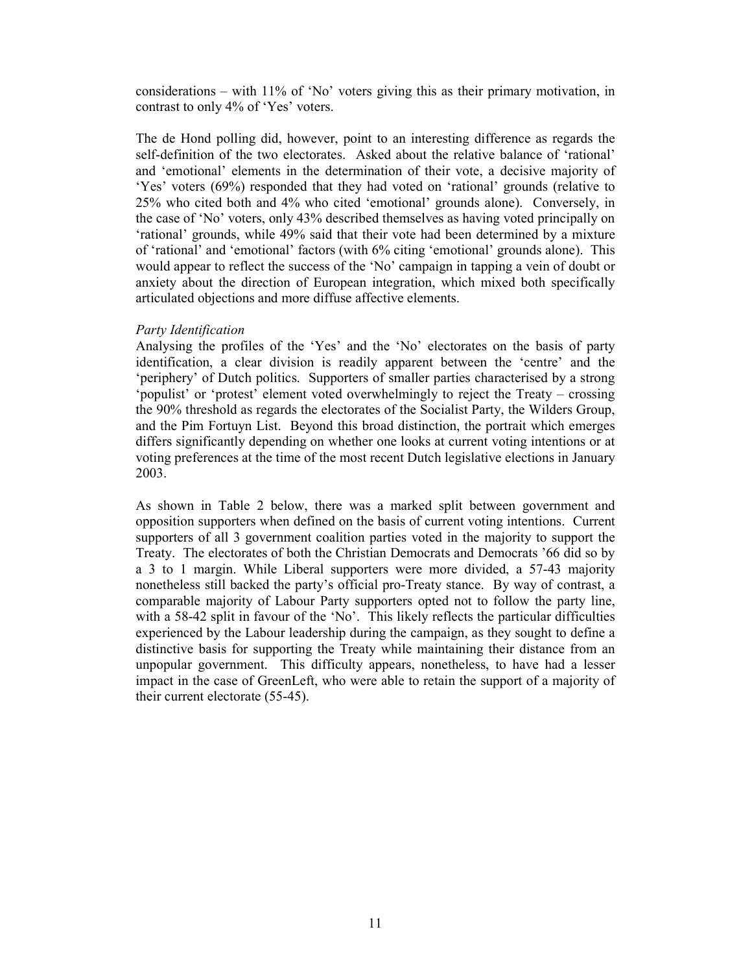considerations – with 11% of 'No' voters giving this as their primary motivation, in contrast to only 4% of 'Yes' voters.

The de Hond polling did, however, point to an interesting difference as regards the self-definition of the two electorates. Asked about the relative balance of 'rational' and 'emotional' elements in the determination of their vote, a decisive majority of 'Yes' voters (69%) responded that they had voted on 'rational' grounds (relative to 25% who cited both and 4% who cited 'emotional' grounds alone). Conversely, in the case of 'No' voters, only 43% described themselves as having voted principally on 'rational' grounds, while 49% said that their vote had been determined by a mixture of 'rational' and 'emotional' factors (with 6% citing 'emotional' grounds alone). This would appear to reflect the success of the 'No' campaign in tapping a vein of doubt or anxiety about the direction of European integration, which mixed both specifically articulated objections and more diffuse affective elements.

#### Party Identification

Analysing the profiles of the 'Yes' and the 'No' electorates on the basis of party identification, a clear division is readily apparent between the 'centre' and the 'periphery' of Dutch politics. Supporters of smaller parties characterised by a strong 'populist' or 'protest' element voted overwhelmingly to reject the Treaty – crossing the 90% threshold as regards the electorates of the Socialist Party, the Wilders Group, and the Pim Fortuyn List. Beyond this broad distinction, the portrait which emerges differs significantly depending on whether one looks at current voting intentions or at voting preferences at the time of the most recent Dutch legislative elections in January 2003.

As shown in Table 2 below, there was a marked split between government and opposition supporters when defined on the basis of current voting intentions. Current supporters of all 3 government coalition parties voted in the majority to support the Treaty. The electorates of both the Christian Democrats and Democrats '66 did so by a 3 to 1 margin. While Liberal supporters were more divided, a 57-43 majority nonetheless still backed the party's official pro-Treaty stance. By way of contrast, a comparable majority of Labour Party supporters opted not to follow the party line, with a 58-42 split in favour of the 'No'. This likely reflects the particular difficulties experienced by the Labour leadership during the campaign, as they sought to define a distinctive basis for supporting the Treaty while maintaining their distance from an unpopular government. This difficulty appears, nonetheless, to have had a lesser impact in the case of GreenLeft, who were able to retain the support of a majority of their current electorate (55-45).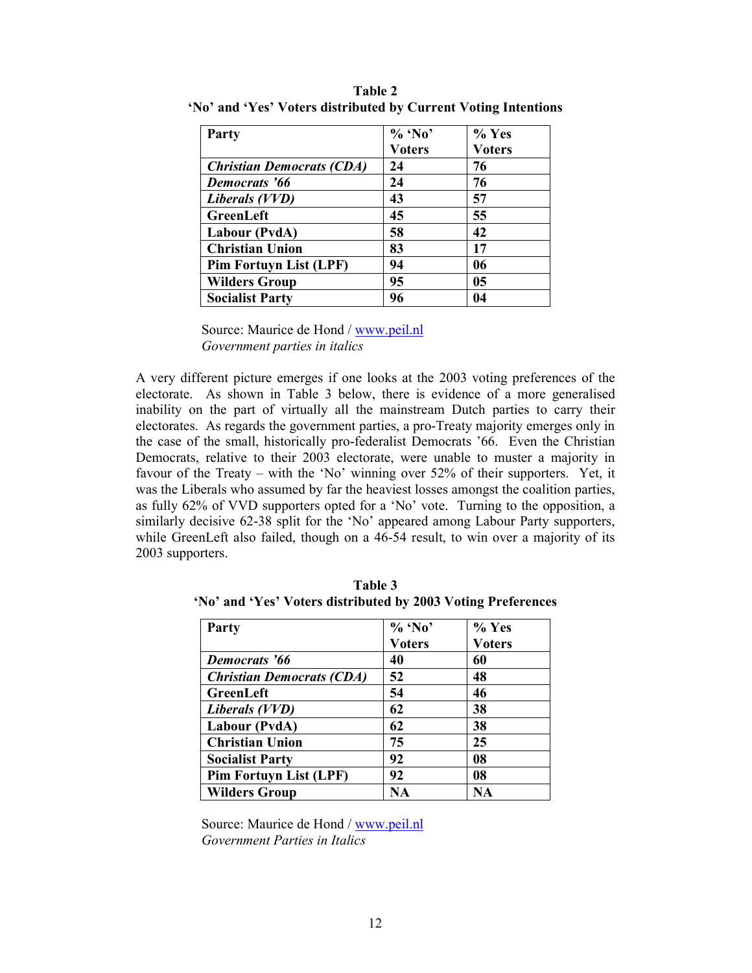| Party                            | $%$ 'No'      | % Yes         |
|----------------------------------|---------------|---------------|
|                                  | <b>Voters</b> | <b>Voters</b> |
| <b>Christian Democrats (CDA)</b> | 24            | 76            |
| Democrats '66                    | 24            | 76            |
| Liberals (VVD)                   | 43            | 57            |
| GreenLeft                        | 45            | 55            |
| Labour (PvdA)                    | 58            | 42            |
| <b>Christian Union</b>           | 83            | 17            |
| <b>Pim Fortuyn List (LPF)</b>    | 94            | 06            |
| <b>Wilders Group</b>             | 95            | 05            |
| <b>Socialist Party</b>           | 96            | 04            |

Table 2 'No' and 'Yes' Voters distributed by Current Voting Intentions

Source: Maurice de Hond / www.peil.nl Government parties in italics

A very different picture emerges if one looks at the 2003 voting preferences of the electorate. As shown in Table 3 below, there is evidence of a more generalised inability on the part of virtually all the mainstream Dutch parties to carry their electorates. As regards the government parties, a pro-Treaty majority emerges only in the case of the small, historically pro-federalist Democrats '66. Even the Christian Democrats, relative to their 2003 electorate, were unable to muster a majority in favour of the Treaty – with the 'No' winning over 52% of their supporters. Yet, it was the Liberals who assumed by far the heaviest losses amongst the coalition parties, as fully 62% of VVD supporters opted for a 'No' vote. Turning to the opposition, a similarly decisive 62-38 split for the 'No' appeared among Labour Party supporters, while GreenLeft also failed, though on a 46-54 result, to win over a majority of its 2003 supporters.

| Party                            | $%$ 'No'      | $%$ Yes       |
|----------------------------------|---------------|---------------|
|                                  | <b>Voters</b> | <b>Voters</b> |
| Democrats '66                    | 40            | 60            |
| <b>Christian Democrats (CDA)</b> | 52            | 48            |
| GreenLeft                        | 54            | 46            |
| Liberals (VVD)                   | 62            | 38            |
| Labour (PvdA)                    | 62            | 38            |
| <b>Christian Union</b>           | 75            | 25            |
| <b>Socialist Party</b>           | 92            | 08            |
| <b>Pim Fortuyn List (LPF)</b>    | 92            | 08            |
| <b>Wilders Group</b>             | NA            | NA            |

Table 3 'No' and 'Yes' Voters distributed by 2003 Voting Preferences

Source: Maurice de Hond / www.peil.nl Government Parties in Italics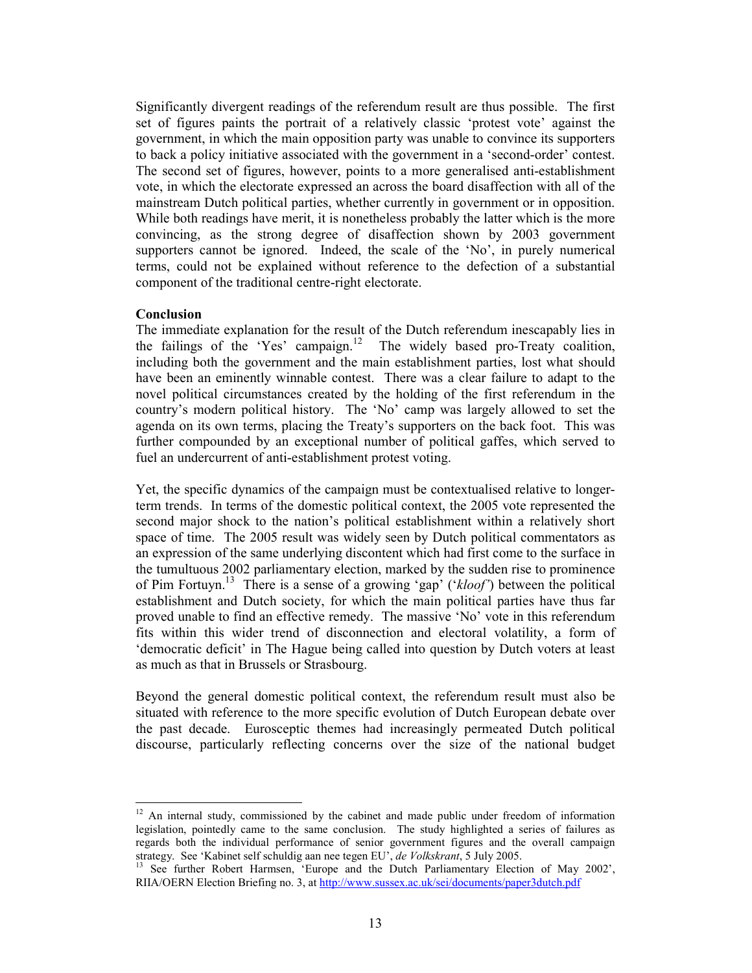Significantly divergent readings of the referendum result are thus possible. The first set of figures paints the portrait of a relatively classic 'protest vote' against the government, in which the main opposition party was unable to convince its supporters to back a policy initiative associated with the government in a 'second-order' contest. The second set of figures, however, points to a more generalised anti-establishment vote, in which the electorate expressed an across the board disaffection with all of the mainstream Dutch political parties, whether currently in government or in opposition. While both readings have merit, it is nonetheless probably the latter which is the more convincing, as the strong degree of disaffection shown by 2003 government supporters cannot be ignored. Indeed, the scale of the 'No', in purely numerical terms, could not be explained without reference to the defection of a substantial component of the traditional centre-right electorate.

### **Conclusion**

The immediate explanation for the result of the Dutch referendum inescapably lies in the failings of the 'Yes' campaign.<sup>12</sup> The widely based pro-Treaty coalition, including both the government and the main establishment parties, lost what should have been an eminently winnable contest. There was a clear failure to adapt to the novel political circumstances created by the holding of the first referendum in the country's modern political history. The 'No' camp was largely allowed to set the agenda on its own terms, placing the Treaty's supporters on the back foot. This was further compounded by an exceptional number of political gaffes, which served to fuel an undercurrent of anti-establishment protest voting.

Yet, the specific dynamics of the campaign must be contextualised relative to longerterm trends. In terms of the domestic political context, the 2005 vote represented the second major shock to the nation's political establishment within a relatively short space of time. The 2005 result was widely seen by Dutch political commentators as an expression of the same underlying discontent which had first come to the surface in the tumultuous 2002 parliamentary election, marked by the sudden rise to prominence of Pim Fortuyn.<sup>13</sup> There is a sense of a growing 'gap' ('kloof') between the political establishment and Dutch society, for which the main political parties have thus far proved unable to find an effective remedy. The massive 'No' vote in this referendum fits within this wider trend of disconnection and electoral volatility, a form of 'democratic deficit' in The Hague being called into question by Dutch voters at least as much as that in Brussels or Strasbourg.

Beyond the general domestic political context, the referendum result must also be situated with reference to the more specific evolution of Dutch European debate over the past decade. Eurosceptic themes had increasingly permeated Dutch political discourse, particularly reflecting concerns over the size of the national budget

<sup>&</sup>lt;sup>12</sup> An internal study, commissioned by the cabinet and made public under freedom of information legislation, pointedly came to the same conclusion. The study highlighted a series of failures as regards both the individual performance of senior government figures and the overall campaign strategy. See 'Kabinet self schuldig aan nee tegen EU', de Volkskrant, 5 July 2005.<br><sup>13</sup> See further Robert Harmsen, 'Europe and the Dutch Parliamentary Election of May 2002',

RIIA/OERN Election Briefing no. 3, at http://www.sussex.ac.uk/sei/documents/paper3dutch.pdf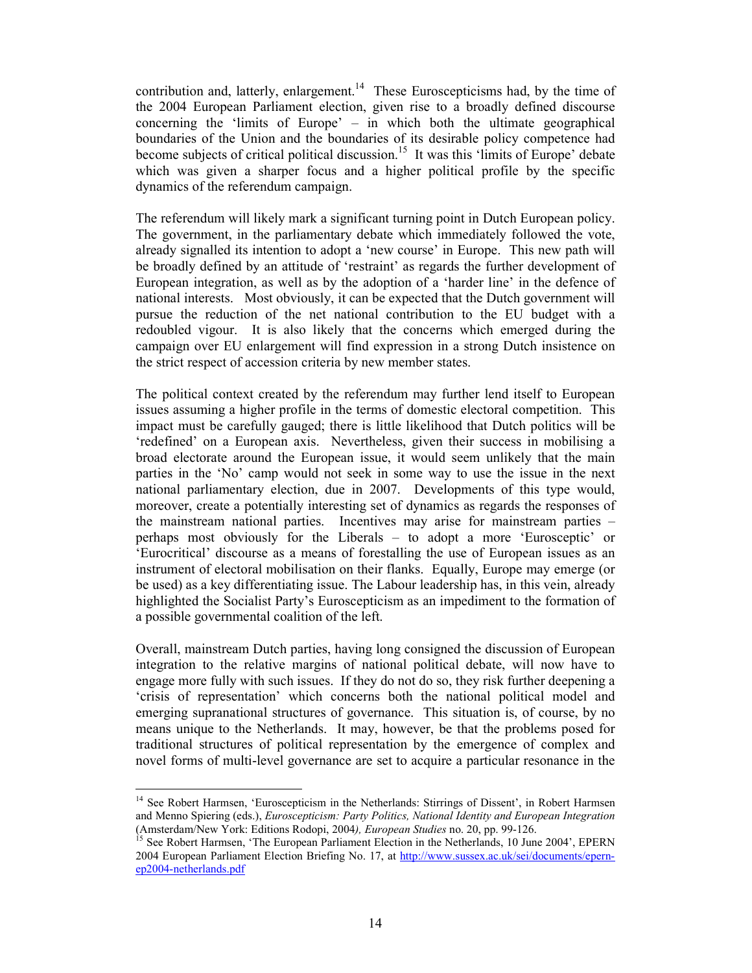contribution and, latterly, enlargement.<sup>14</sup> These Euroscepticisms had, by the time of the 2004 European Parliament election, given rise to a broadly defined discourse concerning the 'limits of Europe' – in which both the ultimate geographical boundaries of the Union and the boundaries of its desirable policy competence had become subjects of critical political discussion.<sup>15</sup> It was this 'limits of Europe' debate which was given a sharper focus and a higher political profile by the specific dynamics of the referendum campaign.

The referendum will likely mark a significant turning point in Dutch European policy. The government, in the parliamentary debate which immediately followed the vote, already signalled its intention to adopt a 'new course' in Europe. This new path will be broadly defined by an attitude of 'restraint' as regards the further development of European integration, as well as by the adoption of a 'harder line' in the defence of national interests. Most obviously, it can be expected that the Dutch government will pursue the reduction of the net national contribution to the EU budget with a redoubled vigour. It is also likely that the concerns which emerged during the campaign over EU enlargement will find expression in a strong Dutch insistence on the strict respect of accession criteria by new member states.

The political context created by the referendum may further lend itself to European issues assuming a higher profile in the terms of domestic electoral competition. This impact must be carefully gauged; there is little likelihood that Dutch politics will be 'redefined' on a European axis. Nevertheless, given their success in mobilising a broad electorate around the European issue, it would seem unlikely that the main parties in the 'No' camp would not seek in some way to use the issue in the next national parliamentary election, due in 2007. Developments of this type would, moreover, create a potentially interesting set of dynamics as regards the responses of the mainstream national parties. Incentives may arise for mainstream parties – perhaps most obviously for the Liberals – to adopt a more 'Eurosceptic' or 'Eurocritical' discourse as a means of forestalling the use of European issues as an instrument of electoral mobilisation on their flanks. Equally, Europe may emerge (or be used) as a key differentiating issue. The Labour leadership has, in this vein, already highlighted the Socialist Party's Euroscepticism as an impediment to the formation of a possible governmental coalition of the left.

Overall, mainstream Dutch parties, having long consigned the discussion of European integration to the relative margins of national political debate, will now have to engage more fully with such issues. If they do not do so, they risk further deepening a 'crisis of representation' which concerns both the national political model and emerging supranational structures of governance. This situation is, of course, by no means unique to the Netherlands. It may, however, be that the problems posed for traditional structures of political representation by the emergence of complex and novel forms of multi-level governance are set to acquire a particular resonance in the

<sup>&</sup>lt;sup>14</sup> See Robert Harmsen, 'Euroscepticism in the Netherlands: Stirrings of Dissent', in Robert Harmsen and Menno Spiering (eds.), Euroscepticism: Party Politics, National Identity and European Integration (Amsterdam/New York: Editions Rodopi, 2004), European Studies no. 20, pp. 99-126.

<sup>&</sup>lt;sup>15</sup> See Robert Harmsen, 'The European Parliament Election in the Netherlands, 10 June 2004', EPERN 2004 European Parliament Election Briefing No. 17, at http://www.sussex.ac.uk/sei/documents/epernen2004-netherlands.ndf